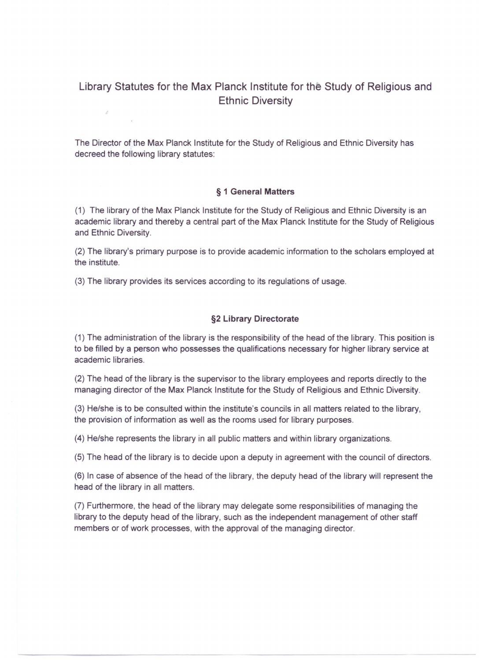# Library Statutes for the Max Planck Institute for the Study of Religious and Ethnic Diversity

The Director of the Max Planck Institute for the Study of Religious and Ethnic Diversity has decreed the following library statutes:

#### § 1 General Matters

(1) The library of the Max Planck Institute for the Study of Religious and Ethnic Diversity is an academic library and thereby a central part of the Max Planck Institute for the Study of Religious and Ethnic Diversity.

(2) The library's primary purpose is to provide academic information to the scholars employed at the institute.

(3) The library provides its services according to its regulations of usage.

 $\hat{\mathcal{S}}$ 

#### §2 Library Directorate

(1) The administration of the library is the responsibility of the head of the library. This position is to be filled by a person who possesses the qualifications necessary for higher library service at academic libraries.

(2) The head of the library is the supervisor to the library employees and reports directly to the managing director of the Max Planck Institute for the Study of Religious and Ethnic Diversity.

(3) He/she is to be consulted within the institute's councils in all matters related to the library, the provision of information as weil as the rooms used for library purposes.

(4) He/she represents the library in all public matters and within library organizations.

(5) The head of the library is to decide upon a deputy in agreement with the council of directors.

(6) In case of absence of the head of the library, the deputy head of the library will represent the head of the library in all matters.

(7) Furthermore, the head of the library may delegate some responsibilities of managing the library to the deputy head of the library, such as the independent management of other staff members or of work processes, with the approval of the managing director.